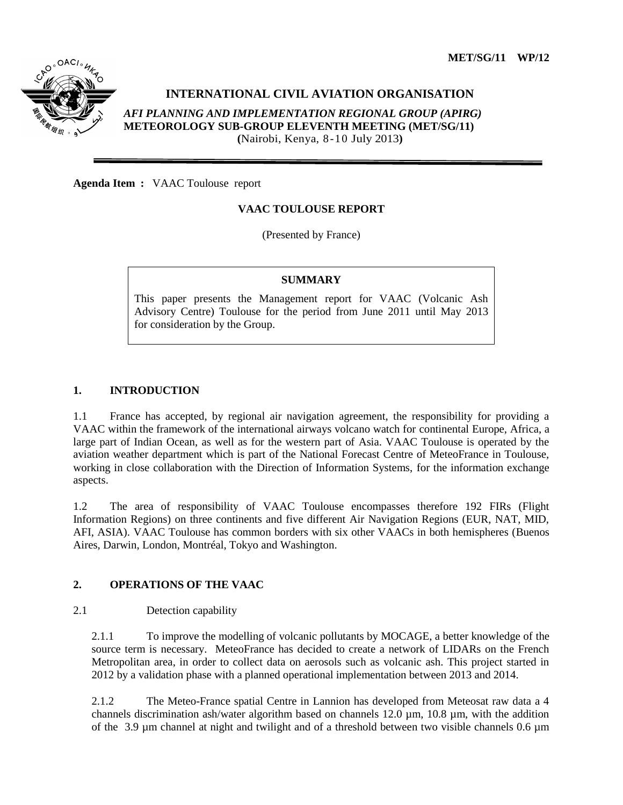

# **INTERNATIONAL CIVIL AVIATION ORGANISATION**

*AFI PLANNING AND IMPLEMENTATION REGIONAL GROUP (APIRG)* **METEOROLOGY SUB-GROUP ELEVENTH MEETING (MET/SG/11) (**Nairobi, Kenya, 8-10 July 2013**)**

**Agenda Item :** VAAC Toulouse report

# **VAAC TOULOUSE REPORT**

(Presented by France)

## **SUMMARY**

This paper presents the Management report for VAAC (Volcanic Ash Advisory Centre) Toulouse for the period from June 2011 until May 2013 for consideration by the Group.

#### **1. INTRODUCTION**

1.1 France has accepted, by regional air navigation agreement, the responsibility for providing a VAAC within the framework of the international airways volcano watch for continental Europe, Africa, a large part of Indian Ocean, as well as for the western part of Asia. VAAC Toulouse is operated by the aviation weather department which is part of the National Forecast Centre of MeteoFrance in Toulouse, working in close collaboration with the Direction of Information Systems, for the information exchange aspects.

1.2 The area of responsibility of VAAC Toulouse encompasses therefore 192 FIRs (Flight Information Regions) on three continents and five different Air Navigation Regions (EUR, NAT, MID, AFI, ASIA). VAAC Toulouse has common borders with six other VAACs in both hemispheres (Buenos Aires, Darwin, London, Montréal, Tokyo and Washington.

# **2. OPERATIONS OF THE VAAC**

#### 2.1 Detection capability

2.1.1 To improve the modelling of volcanic pollutants by MOCAGE, a better knowledge of the source term is necessary. MeteoFrance has decided to create a network of LIDARs on the French Metropolitan area, in order to collect data on aerosols such as volcanic ash. This project started in 2012 by a validation phase with a planned operational implementation between 2013 and 2014.

2.1.2 The Meteo-France spatial Centre in Lannion has developed from Meteosat raw data a 4 channels discrimination ash/water algorithm based on channels 12.0 µm, 10.8 µm, with the addition of the 3.9 um channel at night and twilight and of a threshold between two visible channels 0.6 um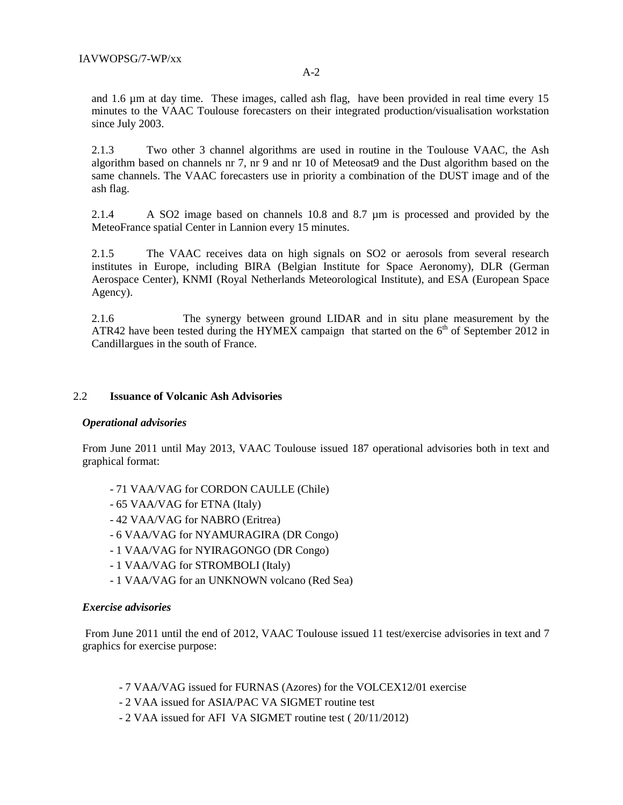and 1.6 µm at day time. These images, called ash flag, have been provided in real time every 15 minutes to the VAAC Toulouse forecasters on their integrated production/visualisation workstation since July 2003.

2.1.3 Two other 3 channel algorithms are used in routine in the Toulouse VAAC, the Ash algorithm based on channels nr 7, nr 9 and nr 10 of Meteosat9 and the Dust algorithm based on the same channels. The VAAC forecasters use in priority a combination of the DUST image and of the ash flag.

2.1.4 A SO2 image based on channels 10.8 and 8.7 µm is processed and provided by the MeteoFrance spatial Center in Lannion every 15 minutes.

2.1.5 The VAAC receives data on high signals on SO2 or aerosols from several research institutes in Europe, including BIRA (Belgian Institute for Space Aeronomy), DLR (German Aerospace Center), KNMI (Royal Netherlands Meteorological Institute), and ESA (European Space Agency).

2.1.6 The synergy between ground LIDAR and in situ plane measurement by the ATR42 have been tested during the HYMEX campaign that started on the  $6<sup>th</sup>$  of September 2012 in Candillargues in the south of France.

## 2.2 **Issuance of Volcanic Ash Advisories**

#### *Operational advisories*

From June 2011 until May 2013, VAAC Toulouse issued 187 operational advisories both in text and graphical format:

- 71 VAA/VAG for CORDON CAULLE (Chile)
- 65 VAA/VAG for ETNA (Italy)
- 42 VAA/VAG for NABRO (Eritrea)
- 6 VAA/VAG for NYAMURAGIRA (DR Congo)
- 1 VAA/VAG for NYIRAGONGO (DR Congo)
- 1 VAA/VAG for STROMBOLI (Italy)
- 1 VAA/VAG for an UNKNOWN volcano (Red Sea)

#### *Exercise advisories*

From June 2011 until the end of 2012, VAAC Toulouse issued 11 test/exercise advisories in text and 7 graphics for exercise purpose:

- 7 VAA/VAG issued for FURNAS (Azores) for the VOLCEX12/01 exercise
- 2 VAA issued for ASIA/PAC VA SIGMET routine test
- 2 VAA issued for AFI VA SIGMET routine test ( 20/11/2012)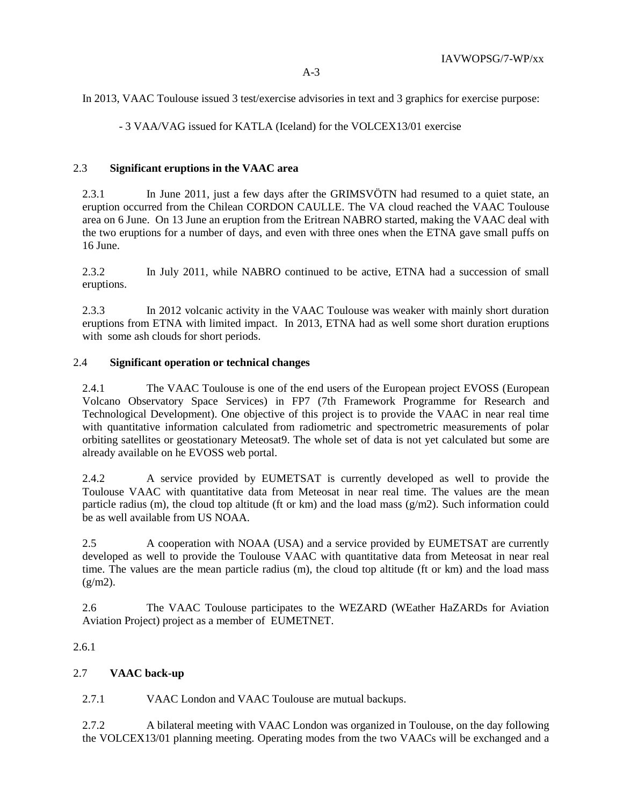In 2013, VAAC Toulouse issued 3 test/exercise advisories in text and 3 graphics for exercise purpose:

- 3 VAA/VAG issued for KATLA (Iceland) for the VOLCEX13/01 exercise

#### 2.3 **Significant eruptions in the VAAC area**

2.3.1 In June 2011, just a few days after the GRIMSVÖTN had resumed to a quiet state, an eruption occurred from the Chilean CORDON CAULLE. The VA cloud reached the VAAC Toulouse area on 6 June. On 13 June an eruption from the Eritrean NABRO started, making the VAAC deal with the two eruptions for a number of days, and even with three ones when the ETNA gave small puffs on 16 June.

2.3.2 In July 2011, while NABRO continued to be active, ETNA had a succession of small eruptions.

2.3.3 In 2012 volcanic activity in the VAAC Toulouse was weaker with mainly short duration eruptions from ETNA with limited impact. In 2013, ETNA had as well some short duration eruptions with some ash clouds for short periods.

## 2.4 **Significant operation or technical changes**

2.4.1 The VAAC Toulouse is one of the end users of the European project EVOSS (European Volcano Observatory Space Services) in FP7 (7th Framework Programme for Research and Technological Development). One objective of this project is to provide the VAAC in near real time with quantitative information calculated from radiometric and spectrometric measurements of polar orbiting satellites or geostationary Meteosat9. The whole set of data is not yet calculated but some are already available on he EVOSS web portal.

2.4.2 A service provided by EUMETSAT is currently developed as well to provide the Toulouse VAAC with quantitative data from Meteosat in near real time. The values are the mean particle radius (m), the cloud top altitude (ft or km) and the load mass  $(g/m2)$ . Such information could be as well available from US NOAA.

2.5 A cooperation with NOAA (USA) and a service provided by EUMETSAT are currently developed as well to provide the Toulouse VAAC with quantitative data from Meteosat in near real time. The values are the mean particle radius (m), the cloud top altitude (ft or km) and the load mass  $(g/m2)$ .

2.6 The VAAC Toulouse participates to the WEZARD (WEather HaZARDs for Aviation Aviation Project) project as a member of EUMETNET.

# 2.6.1

# 2.7 **VAAC back-up**

2.7.1 VAAC London and VAAC Toulouse are mutual backups.

2.7.2 A bilateral meeting with VAAC London was organized in Toulouse, on the day following the VOLCEX13/01 planning meeting. Operating modes from the two VAACs will be exchanged and a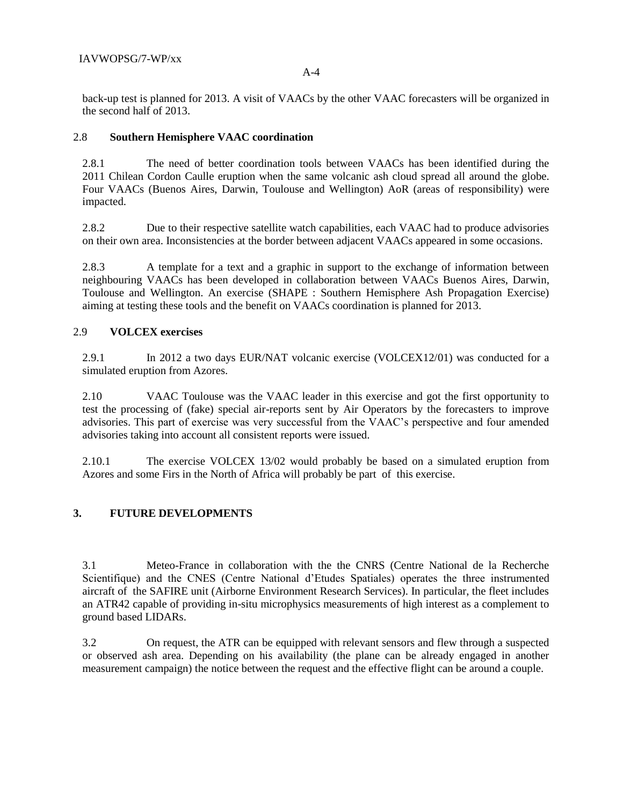A-4

back-up test is planned for 2013. A visit of VAACs by the other VAAC forecasters will be organized in the second half of 2013.

## 2.8 **Southern Hemisphere VAAC coordination**

2.8.1 The need of better coordination tools between VAACs has been identified during the 2011 Chilean Cordon Caulle eruption when the same volcanic ash cloud spread all around the globe. Four VAACs (Buenos Aires, Darwin, Toulouse and Wellington) AoR (areas of responsibility) were impacted.

2.8.2 Due to their respective satellite watch capabilities, each VAAC had to produce advisories on their own area. Inconsistencies at the border between adjacent VAACs appeared in some occasions.

2.8.3 A template for a text and a graphic in support to the exchange of information between neighbouring VAACs has been developed in collaboration between VAACs Buenos Aires, Darwin, Toulouse and Wellington. An exercise (SHAPE : Southern Hemisphere Ash Propagation Exercise) aiming at testing these tools and the benefit on VAACs coordination is planned for 2013.

#### 2.9 **VOLCEX exercises**

2.9.1 In 2012 a two days EUR/NAT volcanic exercise (VOLCEX12/01) was conducted for a simulated eruption from Azores.

2.10 VAAC Toulouse was the VAAC leader in this exercise and got the first opportunity to test the processing of (fake) special air-reports sent by Air Operators by the forecasters to improve advisories. This part of exercise was very successful from the VAAC's perspective and four amended advisories taking into account all consistent reports were issued.

2.10.1 The exercise VOLCEX 13/02 would probably be based on a simulated eruption from Azores and some Firs in the North of Africa will probably be part of this exercise.

# **3. FUTURE DEVELOPMENTS**

3.1 Meteo-France in collaboration with the the CNRS (Centre National de la Recherche Scientifique) and the CNES (Centre National d'Etudes Spatiales) operates the three instrumented aircraft of the SAFIRE unit (Airborne Environment Research Services). In particular, the fleet includes an ATR42 capable of providing in-situ microphysics measurements of high interest as a complement to ground based LIDARs.

3.2 On request, the ATR can be equipped with relevant sensors and flew through a suspected or observed ash area. Depending on his availability (the plane can be already engaged in another measurement campaign) the notice between the request and the effective flight can be around a couple.